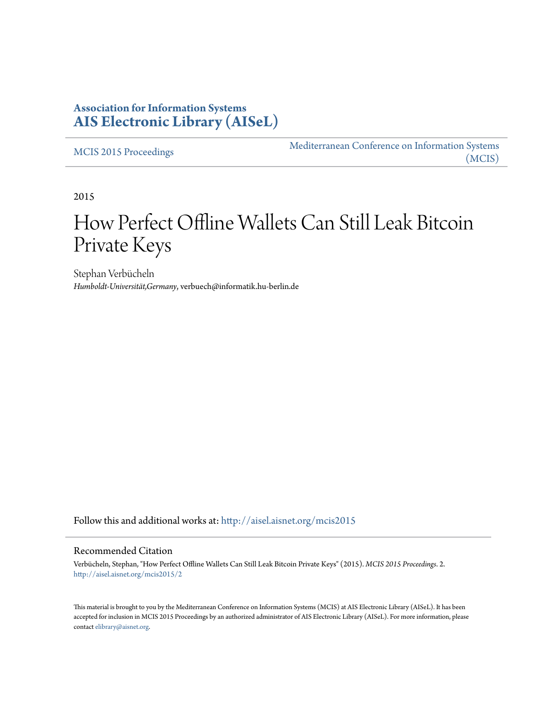### **Association for Information Systems [AIS Electronic Library \(AISeL\)](http://aisel.aisnet.org?utm_source=aisel.aisnet.org%2Fmcis2015%2F2&utm_medium=PDF&utm_campaign=PDFCoverPages)**

[MCIS 2015 Proceedings](http://aisel.aisnet.org/mcis2015?utm_source=aisel.aisnet.org%2Fmcis2015%2F2&utm_medium=PDF&utm_campaign=PDFCoverPages)

[Mediterranean Conference on Information Systems](http://aisel.aisnet.org/mcis?utm_source=aisel.aisnet.org%2Fmcis2015%2F2&utm_medium=PDF&utm_campaign=PDFCoverPages) [\(MCIS\)](http://aisel.aisnet.org/mcis?utm_source=aisel.aisnet.org%2Fmcis2015%2F2&utm_medium=PDF&utm_campaign=PDFCoverPages)

2015

# How Perfect Offline Wallets Can Still Leak Bitcoin Private Keys

Stephan Verbücheln *Humboldt-Universität,Germany*, verbuech@informatik.hu-berlin.de

Follow this and additional works at: [http://aisel.aisnet.org/mcis2015](http://aisel.aisnet.org/mcis2015?utm_source=aisel.aisnet.org%2Fmcis2015%2F2&utm_medium=PDF&utm_campaign=PDFCoverPages)

#### Recommended Citation

Verbücheln, Stephan, "How Perfect Offline Wallets Can Still Leak Bitcoin Private Keys" (2015). *MCIS 2015 Proceedings*. 2. [http://aisel.aisnet.org/mcis2015/2](http://aisel.aisnet.org/mcis2015/2?utm_source=aisel.aisnet.org%2Fmcis2015%2F2&utm_medium=PDF&utm_campaign=PDFCoverPages)

This material is brought to you by the Mediterranean Conference on Information Systems (MCIS) at AIS Electronic Library (AISeL). It has been accepted for inclusion in MCIS 2015 Proceedings by an authorized administrator of AIS Electronic Library (AISeL). For more information, please contact [elibrary@aisnet.org.](mailto:elibrary@aisnet.org%3E)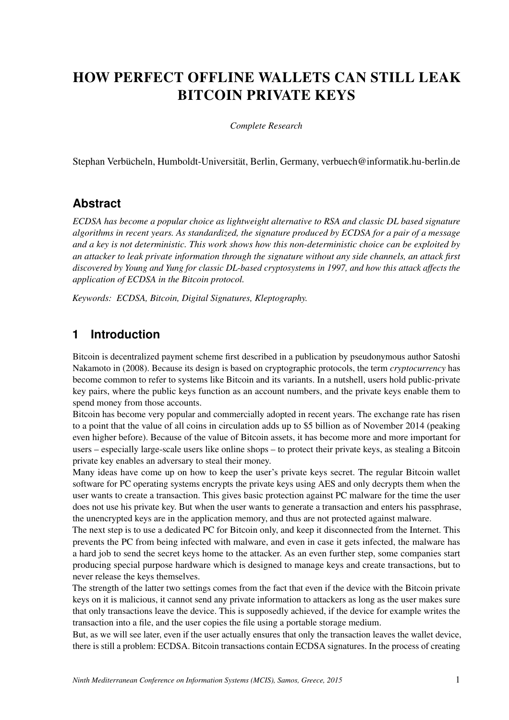## HOW PERFECT OFFLINE WALLETS CAN STILL LEAK BITCOIN PRIVATE KEYS

*Complete Research*

Stephan Verbücheln, Humboldt-Universität, Berlin, Germany, verbuech@informatik.hu-berlin.de

### **Abstract**

*ECDSA has become a popular choice as lightweight alternative to RSA and classic DL based signature algorithms in recent years. As standardized, the signature produced by ECDSA for a pair of a message and a key is not deterministic. This work shows how this non-deterministic choice can be exploited by an attacker to leak private information through the signature without any side channels, an attack first discovered by Young and Yung for classic DL-based cryptosystems in 1997, and how this attack affects the application of ECDSA in the Bitcoin protocol.*

*Keywords: ECDSA, Bitcoin, Digital Signatures, Kleptography.*

### **1 Introduction**

Bitcoin is decentralized payment scheme first described in a publication by pseudonymous author Satoshi Nakamoto in (2008). Because its design is based on cryptographic protocols, the term *cryptocurrency* has become common to refer to systems like Bitcoin and its variants. In a nutshell, users hold public-private key pairs, where the public keys function as an account numbers, and the private keys enable them to spend money from those accounts.

Bitcoin has become very popular and commercially adopted in recent years. The exchange rate has risen to a point that the value of all coins in circulation adds up to \$5 billion as of November 2014 (peaking even higher before). Because of the value of Bitcoin assets, it has become more and more important for users – especially large-scale users like online shops – to protect their private keys, as stealing a Bitcoin private key enables an adversary to steal their money.

Many ideas have come up on how to keep the user's private keys secret. The regular Bitcoin wallet software for PC operating systems encrypts the private keys using AES and only decrypts them when the user wants to create a transaction. This gives basic protection against PC malware for the time the user does not use his private key. But when the user wants to generate a transaction and enters his passphrase, the unencrypted keys are in the application memory, and thus are not protected against malware.

The next step is to use a dedicated PC for Bitcoin only, and keep it disconnected from the Internet. This prevents the PC from being infected with malware, and even in case it gets infected, the malware has a hard job to send the secret keys home to the attacker. As an even further step, some companies start producing special purpose hardware which is designed to manage keys and create transactions, but to never release the keys themselves.

The strength of the latter two settings comes from the fact that even if the device with the Bitcoin private keys on it is malicious, it cannot send any private information to attackers as long as the user makes sure that only transactions leave the device. This is supposedly achieved, if the device for example writes the transaction into a file, and the user copies the file using a portable storage medium.

But, as we will see later, even if the user actually ensures that only the transaction leaves the wallet device, there is still a problem: ECDSA. Bitcoin transactions contain ECDSA signatures. In the process of creating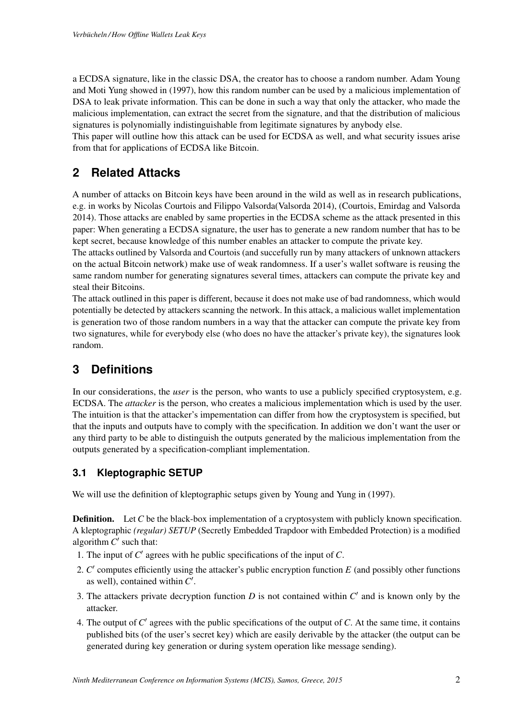a ECDSA signature, like in the classic DSA, the creator has to choose a random number. Adam Young and Moti Yung showed in (1997), how this random number can be used by a malicious implementation of DSA to leak private information. This can be done in such a way that only the attacker, who made the malicious implementation, can extract the secret from the signature, and that the distribution of malicious signatures is polynomially indistinguishable from legitimate signatures by anybody else.

This paper will outline how this attack can be used for ECDSA as well, and what security issues arise from that for applications of ECDSA like Bitcoin.

### **2 Related Attacks**

A number of attacks on Bitcoin keys have been around in the wild as well as in research publications, e.g. in works by Nicolas Courtois and Filippo Valsorda(Valsorda 2014), (Courtois, Emirdag and Valsorda 2014). Those attacks are enabled by same properties in the ECDSA scheme as the attack presented in this paper: When generating a ECDSA signature, the user has to generate a new random number that has to be kept secret, because knowledge of this number enables an attacker to compute the private key.

The attacks outlined by Valsorda and Courtois (and succefully run by many attackers of unknown attackers on the actual Bitcoin network) make use of weak randomness. If a user's wallet software is reusing the same random number for generating signatures several times, attackers can compute the private key and steal their Bitcoins.

The attack outlined in this paper is different, because it does not make use of bad randomness, which would potentially be detected by attackers scanning the network. In this attack, a malicious wallet implementation is generation two of those random numbers in a way that the attacker can compute the private key from two signatures, while for everybody else (who does no have the attacker's private key), the signatures look random.

### **3 Definitions**

In our considerations, the *user* is the person, who wants to use a publicly specified cryptosystem, e.g. ECDSA. The *attacker* is the person, who creates a malicious implementation which is used by the user. The intuition is that the attacker's impementation can differ from how the cryptosystem is specified, but that the inputs and outputs have to comply with the specification. In addition we don't want the user or any third party to be able to distinguish the outputs generated by the malicious implementation from the outputs generated by a specification-compliant implementation.

#### **3.1 Kleptographic SETUP**

We will use the definition of kleptographic setups given by Young and Yung in (1997).

**Definition.** Let *C* be the black-box implementation of a cryptosystem with publicly known specification. A kleptographic *(regular) SETUP* (Secretly Embedded Trapdoor with Embedded Protection) is a modified algorithm  $C'$  such that:

- 1. The input of *C*0 agrees with he public specifications of the input of *C*.
- 2. *C'* computes efficiently using the attacker's public encryption function *E* (and possibly other functions as well), contained within  $C'$ .
- 3. The attackers private decryption function  $D$  is not contained within  $C<sup>1</sup>$  and is known only by the attacker.
- 4. The output of  $C'$  agrees with the public specifications of the output of  $C$ . At the same time, it contains published bits (of the user's secret key) which are easily derivable by the attacker (the output can be generated during key generation or during system operation like message sending).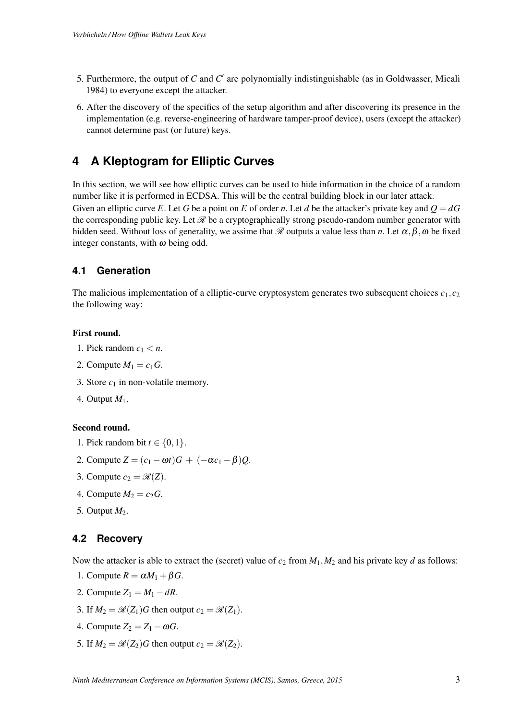- 5. Furthermore, the output of  $C$  and  $C'$  are polynomially indistinguishable (as in Goldwasser, Micali 1984) to everyone except the attacker.
- 6. After the discovery of the specifics of the setup algorithm and after discovering its presence in the implementation (e.g. reverse-engineering of hardware tamper-proof device), users (except the attacker) cannot determine past (or future) keys.

### **4 A Kleptogram for Elliptic Curves**

In this section, we will see how elliptic curves can be used to hide information in the choice of a random number like it is performed in ECDSA. This will be the central building block in our later attack. Given an elliptic curve *E*. Let *G* be a point on *E* of order *n*. Let *d* be the attacker's private key and  $Q = dG$ the corresponding public key. Let *R* be a cryptographically strong pseudo-random number generator with hidden seed. Without loss of generality, we assime that  $\mathcal R$  outputs a value less than *n*. Let  $\alpha, \beta, \omega$  be fixed integer constants, with  $\omega$  being odd.

#### **4.1 Generation**

The malicious implementation of a elliptic-curve cryptosystem generates two subsequent choices  $c_1, c_2$ the following way:

#### First round.

- 1. Pick random  $c_1 < n$ .
- 2. Compute  $M_1 = c_1 G$ .
- 3. Store  $c_1$  in non-volatile memory.
- 4. Output *M*1.

#### Second round.

- 1. Pick random bit  $t \in \{0, 1\}$ .
- 2. Compute  $Z = (c_1 \omega t)G + (-\alpha c_1 \beta)Q$ .
- 3. Compute  $c_2 = \mathcal{R}(Z)$ .
- 4. Compute  $M_2 = c_2 G$ .
- 5. Output *M*2.

#### **4.2 Recovery**

Now the attacker is able to extract the (secret) value of  $c_2$  from  $M_1$ ,  $M_2$  and his private key *d* as follows:

- 1. Compute  $R = \alpha M_1 + \beta G$ .
- 2. Compute  $Z_1 = M_1 dR$ .
- 3. If  $M_2 = \mathcal{R}(Z_1)G$  then output  $c_2 = \mathcal{R}(Z_1)$ .
- 4. Compute  $Z_2 = Z_1 \omega G$ .
- 5. If  $M_2 = \mathcal{R}(Z_2)G$  then output  $c_2 = \mathcal{R}(Z_2)$ .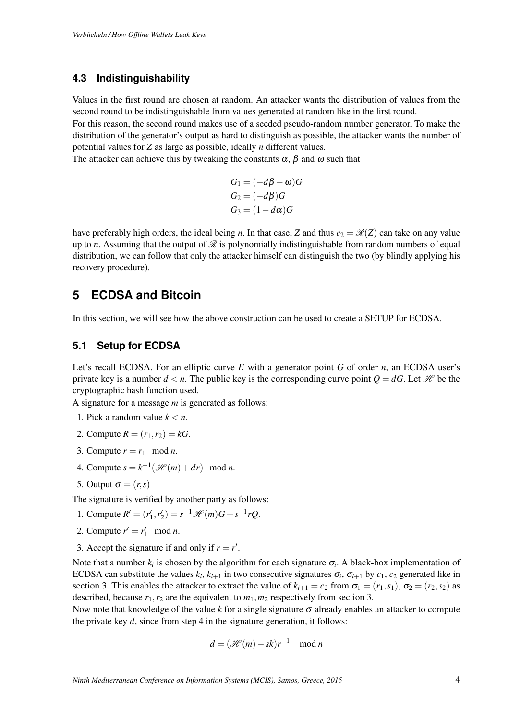#### **4.3 Indistinguishability**

Values in the first round are chosen at random. An attacker wants the distribution of values from the second round to be indistinguishable from values generated at random like in the first round.

For this reason, the second round makes use of a seeded pseudo-random number generator. To make the distribution of the generator's output as hard to distinguish as possible, the attacker wants the number of potential values for *Z* as large as possible, ideally *n* different values.

The attacker can achieve this by tweaking the constants  $\alpha$ ,  $\beta$  and  $\omega$  such that

$$
G_1 = (-d\beta - \omega)G
$$
  
\n
$$
G_2 = (-d\beta)G
$$
  
\n
$$
G_3 = (1 - d\alpha)G
$$

have preferably high orders, the ideal being *n*. In that case, *Z* and thus  $c_2 = \mathcal{R}(Z)$  can take on any value up to *n*. Assuming that the output of *R* is polynomially indistinguishable from random numbers of equal distribution, we can follow that only the attacker himself can distinguish the two (by blindly applying his recovery procedure).

### **5 ECDSA and Bitcoin**

In this section, we will see how the above construction can be used to create a SETUP for ECDSA.

#### **5.1 Setup for ECDSA**

Let's recall ECDSA. For an elliptic curve *E* with a generator point *G* of order *n*, an ECDSA user's private key is a number  $d < n$ . The public key is the corresponding curve point  $Q = dG$ . Let *H* be the cryptographic hash function used.

A signature for a message *m* is generated as follows:

- 1. Pick a random value  $k < n$ .
- 2. Compute  $R = (r_1, r_2) = kG$ .
- 3. Compute  $r = r_1 \mod n$ .
- 4. Compute  $s = k^{-1}(\mathcal{H}(m) + dr) \mod n$ .
- 5. Output  $\sigma = (r, s)$

The signature is verified by another party as follows:

- 1. Compute  $R' = (r'_1, r'_2) = s^{-1} \mathcal{H}(m)G + s^{-1}rQ$ .
- 2. Compute  $r' = r'_1 \mod n$ .
- 3. Accept the signature if and only if  $r = r'$ .

Note that a number  $k_i$  is chosen by the algorithm for each signature  $\sigma_i$ . A black-box implementation of ECDSA can substitute the values  $k_i$ ,  $k_{i+1}$  in two consecutive signatures  $\sigma_i$ ,  $\sigma_{i+1}$  by  $c_1$ ,  $c_2$  generated like in section 3. This enables the attacker to extract the value of  $k_{i+1} = c_2$  from  $\sigma_1 = (r_1, s_1)$ ,  $\sigma_2 = (r_2, s_2)$  as described, because  $r_1$ ,  $r_2$  are the equivalent to  $m_1$ ,  $m_2$  respectively from section 3.

Now note that knowledge of the value  $k$  for a single signature  $\sigma$  already enables an attacker to compute the private key  $d$ , since from step  $4$  in the signature generation, it follows:

$$
d = (\mathcal{H}(m) - sk)r^{-1} \mod n
$$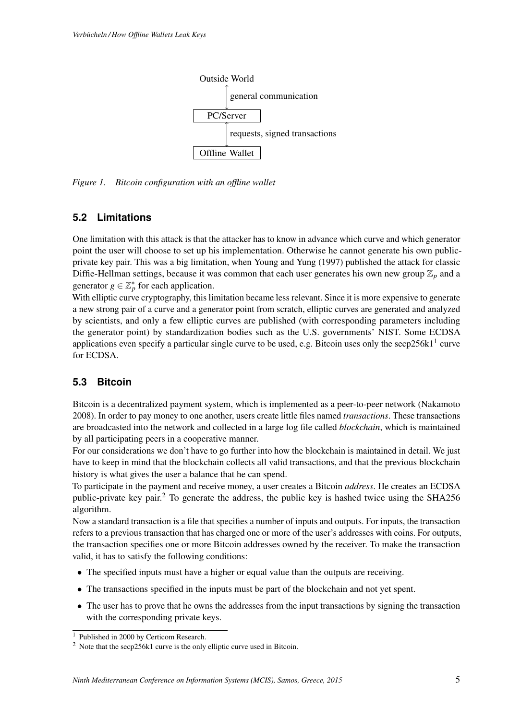

*Figure 1. Bitcoin configuration with an offline wallet*

#### **5.2 Limitations**

One limitation with this attack is that the attacker has to know in advance which curve and which generator point the user will choose to set up his implementation. Otherwise he cannot generate his own publicprivate key pair. This was a big limitation, when Young and Yung (1997) published the attack for classic Diffie-Hellman settings, because it was common that each user generates his own new group  $\mathbb{Z}_p$  and a generator  $g \in \mathbb{Z}_p^*$  for each application.

With elliptic curve cryptography, this limitation became less relevant. Since it is more expensive to generate a new strong pair of a curve and a generator point from scratch, elliptic curves are generated and analyzed by scientists, and only a few elliptic curves are published (with corresponding parameters including the generator point) by standardization bodies such as the U.S. governments' NIST. Some ECDSA applications even specify a particular single curve to be used, e.g. Bitcoin uses only the secp256k1<sup>1</sup> curve for ECDSA.

#### **5.3 Bitcoin**

Bitcoin is a decentralized payment system, which is implemented as a peer-to-peer network (Nakamoto 2008). In order to pay money to one another, users create little files named *transactions*. These transactions are broadcasted into the network and collected in a large log file called *blockchain*, which is maintained by all participating peers in a cooperative manner.

For our considerations we don't have to go further into how the blockchain is maintained in detail. We just have to keep in mind that the blockchain collects all valid transactions, and that the previous blockchain history is what gives the user a balance that he can spend.

To participate in the payment and receive money, a user creates a Bitcoin *address*. He creates an ECDSA public-private key pair.2 To generate the address, the public key is hashed twice using the SHA256 algorithm.

Now a standard transaction is a file that specifies a number of inputs and outputs. For inputs, the transaction refers to a previous transaction that has charged one or more of the user's addresses with coins. For outputs, the transaction specifies one or more Bitcoin addresses owned by the receiver. To make the transaction valid, it has to satisfy the following conditions:

- The specified inputs must have a higher or equal value than the outputs are receiving.
- The transactions specified in the inputs must be part of the blockchain and not yet spent.
- The user has to prove that he owns the addresses from the input transactions by signing the transaction with the corresponding private keys.

 $\frac{1}{1}$  Published in 2000 by Certicom Research.

<sup>&</sup>lt;sup>2</sup> Note that the secp256k1 curve is the only elliptic curve used in Bitcoin.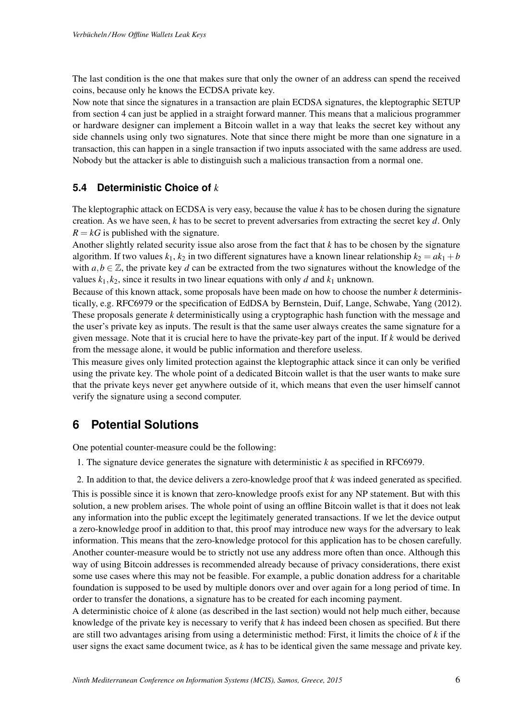The last condition is the one that makes sure that only the owner of an address can spend the received coins, because only he knows the ECDSA private key.

Now note that since the signatures in a transaction are plain ECDSA signatures, the kleptographic SETUP from section 4 can just be applied in a straight forward manner. This means that a malicious programmer or hardware designer can implement a Bitcoin wallet in a way that leaks the secret key without any side channels using only two signatures. Note that since there might be more than one signature in a transaction, this can happen in a single transaction if two inputs associated with the same address are used. Nobody but the attacker is able to distinguish such a malicious transaction from a normal one.

### **5.4 Deterministic Choice of** *k*

The kleptographic attack on ECDSA is very easy, because the value *k* has to be chosen during the signature creation. As we have seen, *k* has to be secret to prevent adversaries from extracting the secret key *d*. Only  $R = kG$  is published with the signature.

Another slightly related security issue also arose from the fact that *k* has to be chosen by the signature algorithm. If two values  $k_1$ ,  $k_2$  in two different signatures have a known linear relationship  $k_2 = ak_1 + b$ with  $a, b \in \mathbb{Z}$ , the private key *d* can be extracted from the two signatures without the knowledge of the values  $k_1, k_2$ , since it results in two linear equations with only *d* and  $k_1$  unknown.

Because of this known attack, some proposals have been made on how to choose the number *k* deterministically, e.g. RFC6979 or the specification of EdDSA by Bernstein, Duif, Lange, Schwabe, Yang (2012). These proposals generate *k* deterministically using a cryptographic hash function with the message and the user's private key as inputs. The result is that the same user always creates the same signature for a given message. Note that it is crucial here to have the private-key part of the input. If *k* would be derived from the message alone, it would be public information and therefore useless.

This measure gives only limited protection against the kleptographic attack since it can only be verified using the private key. The whole point of a dedicated Bitcoin wallet is that the user wants to make sure that the private keys never get anywhere outside of it, which means that even the user himself cannot verify the signature using a second computer.

### **6 Potential Solutions**

One potential counter-measure could be the following:

- 1. The signature device generates the signature with deterministic *k* as specified in RFC6979.
- 2. In addition to that, the device delivers a zero-knowledge proof that *k* was indeed generated as specified.

This is possible since it is known that zero-knowledge proofs exist for any NP statement. But with this solution, a new problem arises. The whole point of using an offline Bitcoin wallet is that it does not leak any information into the public except the legitimately generated transactions. If we let the device output a zero-knowledge proof in addition to that, this proof may introduce new ways for the adversary to leak information. This means that the zero-knowledge protocol for this application has to be chosen carefully. Another counter-measure would be to strictly not use any address more often than once. Although this way of using Bitcoin addresses is recommended already because of privacy considerations, there exist some use cases where this may not be feasible. For example, a public donation address for a charitable foundation is supposed to be used by multiple donors over and over again for a long period of time. In order to transfer the donations, a signature has to be created for each incoming payment.

A deterministic choice of *k* alone (as described in the last section) would not help much either, because knowledge of the private key is necessary to verify that *k* has indeed been chosen as specified. But there are still two advantages arising from using a deterministic method: First, it limits the choice of *k* if the user signs the exact same document twice, as *k* has to be identical given the same message and private key.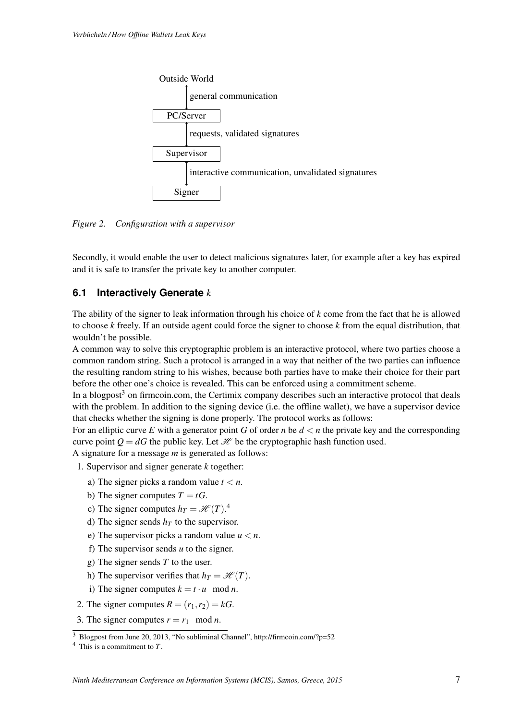

*Figure 2. Configuration with a supervisor*

Secondly, it would enable the user to detect malicious signatures later, for example after a key has expired and it is safe to transfer the private key to another computer.

#### **6.1 Interactively Generate** *k*

The ability of the signer to leak information through his choice of *k* come from the fact that he is allowed to choose *k* freely. If an outside agent could force the signer to choose *k* from the equal distribution, that wouldn't be possible.

A common way to solve this cryptographic problem is an interactive protocol, where two parties choose a common random string. Such a protocol is arranged in a way that neither of the two parties can influence the resulting random string to his wishes, because both parties have to make their choice for their part before the other one's choice is revealed. This can be enforced using a commitment scheme.

In a blogpost<sup>3</sup> on firmcoin.com, the Certimix company describes such an interactive protocol that deals with the problem. In addition to the signing device (i.e. the offline wallet), we have a supervisor device that checks whether the signing is done properly. The protocol works as follows:

For an elliptic curve E with a generator point G of order *n* be  $d < n$  the private key and the corresponding curve point  $Q = dG$  the public key. Let *H* be the cryptographic hash function used.

A signature for a message *m* is generated as follows:

- 1. Supervisor and signer generate *k* together:
	- a) The signer picks a random value  $t < n$ .
	- b) The signer computes  $T = tG$ .
	- c) The signer computes  $h_T = \mathcal{H}(T)$ .<sup>4</sup>
	- d) The signer sends  $h_T$  to the supervisor.
	- e) The supervisor picks a random value  $u < n$ .
	- f) The supervisor sends *u* to the signer.
	- g) The signer sends *T* to the user.
	- h) The supervisor verifies that  $h_T = \mathcal{H}(T)$ .
	- i) The signer computes  $k = t \cdot u \mod n$ .
- 2. The signer computes  $R = (r_1, r_2) = kG$ .
- 3. The signer computes  $r = r_1 \mod n$ .

 $\overline{3}$  Blogpost from June 20, 2013, "No subliminal Channel", http://firmcoin.com/?p=52

<sup>4</sup> This is a commitment to *T*.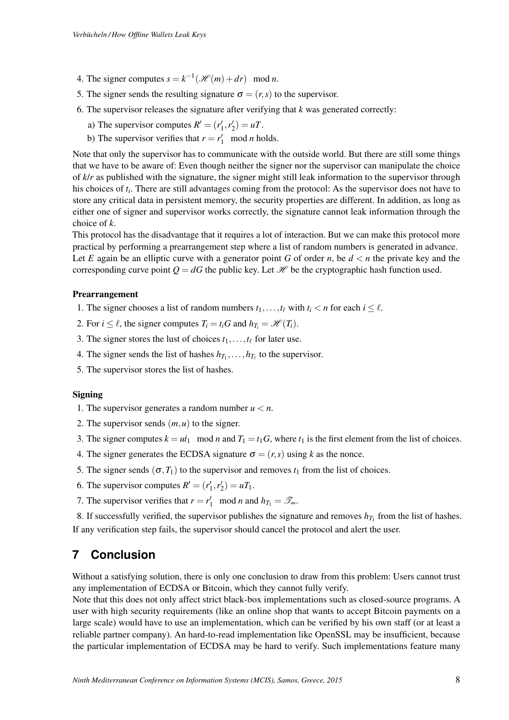- 4. The signer computes  $s = k^{-1}(\mathcal{H}(m) + dr) \mod n$ .
- 5. The signer sends the resulting signature  $\sigma = (r, s)$  to the supervisor.
- 6. The supervisor releases the signature after verifying that *k* was generated correctly:
	- a) The supervisor computes  $R' = (r'_1, r'_2) = uT$ .
	- b) The supervisor verifies that  $r = r'_1 \mod n$  holds.

Note that only the supervisor has to communicate with the outside world. But there are still some things that we have to be aware of: Even though neither the signer nor the supervisor can manipulate the choice of *k*/*r* as published with the signature, the signer might still leak information to the supervisor through his choices of *ti*. There are still advantages coming from the protocol: As the supervisor does not have to store any critical data in persistent memory, the security properties are different. In addition, as long as either one of signer and supervisor works correctly, the signature cannot leak information through the choice of *k*.

This protocol has the disadvantage that it requires a lot of interaction. But we can make this protocol more practical by performing a prearrangement step where a list of random numbers is generated in advance. Let *E* again be an elliptic curve with a generator point *G* of order *n*, be  $d < n$  the private key and the corresponding curve point  $Q = dG$  the public key. Let *H* be the cryptographic hash function used.

#### Prearrangement

- 1. The signer chooses a list of random numbers  $t_1, \ldots, t_\ell$  with  $t_i < n$  for each  $i \leq \ell$ .
- 2. For  $i \leq \ell$ , the signer computes  $T_i = t_iG$  and  $h_{T_i} = \mathcal{H}(T_i)$ .
- 3. The signer stores the lust of choices  $t_1, \ldots, t_\ell$  for later use.
- 4. The signer sends the list of hashes  $h_{T_1}, \ldots, h_{T_\ell}$  to the supervisor.
- 5. The supervisor stores the list of hashes.

#### **Signing**

- 1. The supervisor generates a random number  $u < n$ .
- 2. The supervisor sends  $(m, u)$  to the signer.
- 3. The signer computes  $k = ut_1 \mod n$  and  $T_1 = t_1 G$ , where  $t_1$  is the first element from the list of choices.
- 4. The signer generates the ECDSA signature  $\sigma = (r, s)$  using *k* as the nonce.
- 5. The signer sends ( $\sigma$ , $T_1$ ) to the supervisor and removes  $t_1$  from the list of choices.
- 6. The supervisor computes  $R' = (r'_1, r'_2) = uT_1$ .
- 7. The supervisor verifies that  $r = r'_1 \mod n$  and  $h_{T_1} = \mathcal{T}_{\infty}$ .

8. If successfully verified, the supervisor publishes the signature and removes  $h_{T_1}$  from the list of hashes. If any verification step fails, the supervisor should cancel the protocol and alert the user.

### **7 Conclusion**

Without a satisfying solution, there is only one conclusion to draw from this problem: Users cannot trust any implementation of ECDSA or Bitcoin, which they cannot fully verify.

Note that this does not only affect strict black-box implementations such as closed-source programs. A user with high security requirements (like an online shop that wants to accept Bitcoin payments on a large scale) would have to use an implementation, which can be verified by his own staff (or at least a reliable partner company). An hard-to-read implementation like OpenSSL may be insufficient, because the particular implementation of ECDSA may be hard to verify. Such implementations feature many